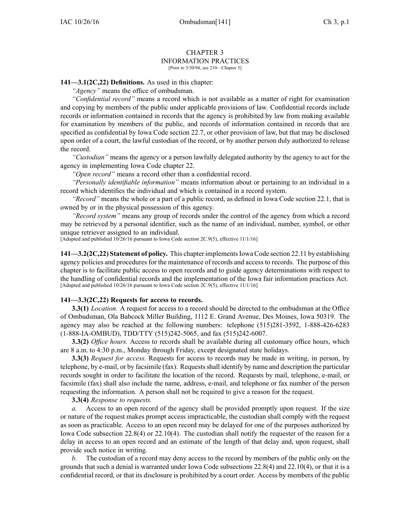#### CHAPTER 3 INFORMATION PRACTICES [Prior to 3/30/94, see 210—Chapter 5]

## **141—3.1(2C,22) Definitions.** As used in this chapter:

*"Agency"* means the office of ombudsman.

*"Confidential record"* means <sup>a</sup> record which is not available as <sup>a</sup> matter of right for examination and copying by members of the public under applicable provisions of law. Confidential records include records or information contained in records that the agency is prohibited by law from making available for examination by members of the public, and records of information contained in records that are specified as confidential by Iowa Code section [22.7](https://www.legis.iowa.gov/docs/ico/section/22.7.pdf), or other provision of law, but that may be disclosed upon order of <sup>a</sup> court, the lawful custodian of the record, or by another person duly authorized to release the record.

*"Custodian"* means the agency or <sup>a</sup> person lawfully delegated authority by the agency to act for the agency in implementing Iowa Code chapter [22](https://www.legis.iowa.gov/docs/ico/chapter/22.pdf).

*"Open record"* means <sup>a</sup> record other than <sup>a</sup> confidential record.

*"Personally identifiable information"* means information about or pertaining to an individual in <sup>a</sup> record which identifies the individual and which is contained in <sup>a</sup> record system.

*"Record"* means the whole or <sup>a</sup> par<sup>t</sup> of <sup>a</sup> public record, as defined in Iowa Code section [22.1](https://www.legis.iowa.gov/docs/ico/section/22.1.pdf), that is owned by or in the physical possession of this agency.

*"Record system"* means any group of records under the control of the agency from which <sup>a</sup> record may be retrieved by <sup>a</sup> personal identifier, such as the name of an individual, number, symbol, or other unique retriever assigned to an individual.

[Adopted and published 10/26/16 pursuan<sup>t</sup> to Iowa Code section 2C.9(5), effective 11/1/16]

**141—3.2(2C,22) Statement of policy.** This chapter implementsIowa Code section [22.11](https://www.legis.iowa.gov/docs/ico/section/22.11.pdf) by establishing agency policies and procedures for the maintenance of records and access to records. The purpose of this chapter is to facilitate public access to open records and to guide agency determinations with respec<sup>t</sup> to the handling of confidential records and the implementation of the Iowa fair information practices Act. [Adopted and published 10/26/16 pursuan<sup>t</sup> to Iowa Code section 2C.9(5), effective 11/1/16]

# **141—3.3(2C,22) Requests for access to records.**

**3.3(1)** *Location.* A reques<sup>t</sup> for access to <sup>a</sup> record should be directed to the ombudsman at the Office of Ombudsman, Ola Babcock Miller Building, 1112 E. Grand Avenue, Des Moines, Iowa 50319. The agency may also be reached at the following numbers: telephone (515)281-3592, 1-888-426-6283 (1-888-IA-OMBUD), TDD/TTY (515)242-5065, and fax (515)242-6007.

**3.3(2)** *Office hours.* Access to records shall be available during all customary office hours, which are 8 a.m. to 4:30 p.m., Monday through Friday, excep<sup>t</sup> designated state holidays.

**3.3(3)** *Request for access.* Requests for access to records may be made in writing, in person, by telephone, by e-mail, or by facsimile (fax). Requestsshall identify by name and description the particular records sought in order to facilitate the location of the record. Requests by mail, telephone, e-mail, or facsimile (fax) shall also include the name, address, e-mail, and telephone or fax number of the person requesting the information. A person shall not be required to give <sup>a</sup> reason for the request.

**3.3(4)** *Response to requests.*

*a.* Access to an open record of the agency shall be provided promptly upon request. If the size or nature of the reques<sup>t</sup> makes promp<sup>t</sup> access impracticable, the custodian shall comply with the reques<sup>t</sup> as soon as practicable. Access to an open record may be delayed for one of the purposes authorized by Iowa Code subsection [22.8\(4\)](https://www.legis.iowa.gov/docs/ico/section/22.8.pdf) or [22.10\(4\)](https://www.legis.iowa.gov/docs/ico/section/22.10.pdf). The custodian shall notify the requester of the reason for <sup>a</sup> delay in access to an open record and an estimate of the length of that delay and, upon request, shall provide such notice in writing.

*b.* The custodian of <sup>a</sup> record may deny access to the record by members of the public only on the grounds that such <sup>a</sup> denial is warranted under Iowa Code subsections [22.8\(4\)](https://www.legis.iowa.gov/docs/ico/section/22.8.pdf) and [22.10\(4\)](https://www.legis.iowa.gov/docs/ico/section/22.10.pdf), or that it is <sup>a</sup> confidential record, or that its disclosure is prohibited by <sup>a</sup> court order. Access by members of the public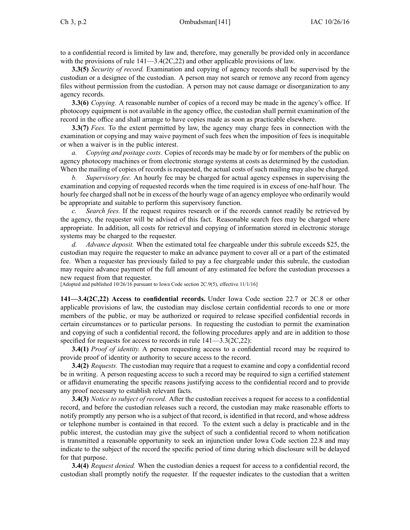to <sup>a</sup> confidential record is limited by law and, therefore, may generally be provided only in accordance with the provisions of rule  $141 - 3.4(2C, 22)$  and other applicable provisions of law.

**3.3(5)** *Security of record.* Examination and copying of agency records shall be supervised by the custodian or <sup>a</sup> designee of the custodian. A person may not search or remove any record from agency files without permission from the custodian. A person may not cause damage or disorganization to any agency records.

**3.3(6)** *Copying.* A reasonable number of copies of <sup>a</sup> record may be made in the agency's office. If photocopy equipment is not available in the agency office, the custodian shall permit examination of the record in the office and shall arrange to have copies made as soon as practicable elsewhere.

**3.3(7)** *Fees.* To the extent permitted by law, the agency may charge fees in connection with the examination or copying and may waive paymen<sup>t</sup> of such fees when the imposition of fees is inequitable or when <sup>a</sup> waiver is in the public interest.

*a. Copying and postage costs.* Copies of records may be made by or for members of the public on agency photocopy machines or from electronic storage systems at costs as determined by the custodian. When the mailing of copies of records is requested, the actual costs of such mailing may also be charged.

*b. Supervisory fee.* An hourly fee may be charged for actual agency expenses in supervising the examination and copying of requested records when the time required is in excess of one-half hour. The hourly fee charged shall not be in excess of the hourly wage of an agency employee who ordinarily would be appropriate and suitable to perform this supervisory function.

*c. Search fees.* If the reques<sup>t</sup> requires research or if the records cannot readily be retrieved by the agency, the requester will be advised of this fact. Reasonable search fees may be charged where appropriate. In addition, all costs for retrieval and copying of information stored in electronic storage systems may be charged to the requester.

*d. Advance deposit.* When the estimated total fee chargeable under this subrule exceeds \$25, the custodian may require the requester to make an advance paymen<sup>t</sup> to cover all or <sup>a</sup> par<sup>t</sup> of the estimated fee. When <sup>a</sup> requester has previously failed to pay <sup>a</sup> fee chargeable under this subrule, the custodian may require advance paymen<sup>t</sup> of the full amount of any estimated fee before the custodian processes <sup>a</sup> new reques<sup>t</sup> from that requester.

[Adopted and published 10/26/16 pursuan<sup>t</sup> to Iowa Code section 2C.9(5), effective 11/1/16]

**141—3.4(2C,22) Access to confidential records.** Under Iowa Code section [22.7](https://www.legis.iowa.gov/docs/ico/section/22.7.pdf) or [2C.8](https://www.legis.iowa.gov/docs/ico/section/2C.8.pdf) or other applicable provisions of law, the custodian may disclose certain confidential records to one or more members of the public, or may be authorized or required to release specified confidential records in certain circumstances or to particular persons. In requesting the custodian to permit the examination and copying of such <sup>a</sup> confidential record, the following procedures apply and are in addition to those specified for requests for access to records in rule  $141-3.3(2C,22)$ :

**3.4(1)** *Proof of identity.* A person requesting access to <sup>a</sup> confidential record may be required to provide proof of identity or authority to secure access to the record.

**3.4(2)** *Requests.* The custodian may require that <sup>a</sup> reques<sup>t</sup> to examine and copy <sup>a</sup> confidential record be in writing. A person requesting access to such <sup>a</sup> record may be required to sign <sup>a</sup> certified statement or affidavit enumerating the specific reasons justifying access to the confidential record and to provide any proof necessary to establish relevant facts.

**3.4(3)** *Notice to subject of record.* After the custodian receives <sup>a</sup> reques<sup>t</sup> for access to <sup>a</sup> confidential record, and before the custodian releases such <sup>a</sup> record, the custodian may make reasonable efforts to notify promptly any person who is <sup>a</sup> subject of that record, is identified in that record, and whose address or telephone number is contained in that record. To the extent such <sup>a</sup> delay is practicable and in the public interest, the custodian may give the subject of such <sup>a</sup> confidential record to whom notification is transmitted <sup>a</sup> reasonable opportunity to seek an injunction under Iowa Code section [22.8](https://www.legis.iowa.gov/docs/ico/section/22.8.pdf) and may indicate to the subject of the record the specific period of time during which disclosure will be delayed for that purpose.

**3.4(4)** *Request denied.* When the custodian denies <sup>a</sup> reques<sup>t</sup> for access to <sup>a</sup> confidential record, the custodian shall promptly notify the requester. If the requester indicates to the custodian that <sup>a</sup> written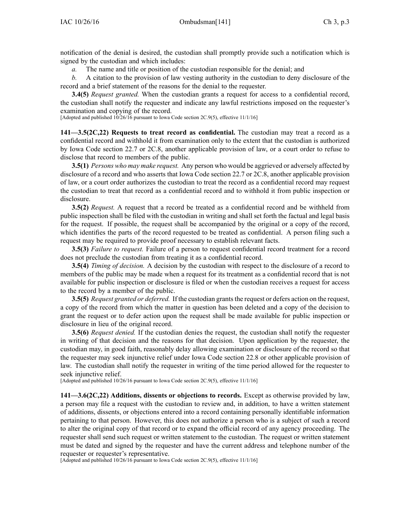notification of the denial is desired, the custodian shall promptly provide such <sup>a</sup> notification which is signed by the custodian and which includes:

*a.* The name and title or position of the custodian responsible for the denial; and

*b.* A citation to the provision of law vesting authority in the custodian to deny disclosure of the record and <sup>a</sup> brief statement of the reasons for the denial to the requester.

**3.4(5)** *Request granted.* When the custodian grants <sup>a</sup> reques<sup>t</sup> for access to <sup>a</sup> confidential record, the custodian shall notify the requester and indicate any lawful restrictions imposed on the requester's examination and copying of the record.

[Adopted and published 10/26/16 pursuan<sup>t</sup> to Iowa Code section 2C.9(5), effective 11/1/16]

**141—3.5(2C,22) Requests to treat record as confidential.** The custodian may treat <sup>a</sup> record as <sup>a</sup> confidential record and withhold it from examination only to the extent that the custodian is authorized by Iowa Code section [22.7](https://www.legis.iowa.gov/docs/ico/section/22.7.pdf) or [2C.8](https://www.legis.iowa.gov/docs/ico/section/2C.8.pdf), another applicable provision of law, or <sup>a</sup> court order to refuse to disclose that record to members of the public.

**3.5(1)** *Persons who may make request.* Any person who would be aggrieved or adversely affected by disclosure of <sup>a</sup> record and who asserts that Iowa Code section [22.7](https://www.legis.iowa.gov/docs/ico/section/22.7.pdf) or [2C.8](https://www.legis.iowa.gov/docs/ico/section/2C.8.pdf), another applicable provision of law, or <sup>a</sup> court order authorizes the custodian to treat the record as <sup>a</sup> confidential record may reques<sup>t</sup> the custodian to treat that record as <sup>a</sup> confidential record and to withhold it from public inspection or disclosure.

**3.5(2)** *Request.* A reques<sup>t</sup> that <sup>a</sup> record be treated as <sup>a</sup> confidential record and be withheld from public inspection shall be filed with the custodian in writing and shall set forth the factual and legal basis for the request. If possible, the reques<sup>t</sup> shall be accompanied by the original or <sup>a</sup> copy of the record, which identifies the parts of the record requested to be treated as confidential. A person filing such <sup>a</sup> reques<sup>t</sup> may be required to provide proof necessary to establish relevant facts.

**3.5(3)** *Failure to request.* Failure of <sup>a</sup> person to reques<sup>t</sup> confidential record treatment for <sup>a</sup> record does not preclude the custodian from treating it as <sup>a</sup> confidential record.

**3.5(4)** *Timing of decision.* A decision by the custodian with respec<sup>t</sup> to the disclosure of <sup>a</sup> record to members of the public may be made when <sup>a</sup> reques<sup>t</sup> for its treatment as <sup>a</sup> confidential record that is not available for public inspection or disclosure is filed or when the custodian receives <sup>a</sup> reques<sup>t</sup> for access to the record by <sup>a</sup> member of the public.

**3.5(5)** *Request granted or deferred.* If the custodian grants the request or defers action on the request, <sup>a</sup> copy of the record from which the matter in question has been deleted and <sup>a</sup> copy of the decision to gran<sup>t</sup> the reques<sup>t</sup> or to defer action upon the reques<sup>t</sup> shall be made available for public inspection or disclosure in lieu of the original record.

**3.5(6)** *Request denied.* If the custodian denies the request, the custodian shall notify the requester in writing of that decision and the reasons for that decision. Upon application by the requester, the custodian may, in good faith, reasonably delay allowing examination or disclosure of the record so that the requester may seek injunctive relief under Iowa Code section [22.8](https://www.legis.iowa.gov/docs/ico/section/22.8.pdf) or other applicable provision of law. The custodian shall notify the requester in writing of the time period allowed for the requester to seek injunctive relief.

[Adopted and published 10/26/16 pursuan<sup>t</sup> to Iowa Code section 2C.9(5), effective 11/1/16]

**141—3.6(2C,22) Additions, dissents or objections to records.** Except as otherwise provided by law, <sup>a</sup> person may file <sup>a</sup> reques<sup>t</sup> with the custodian to review and, in addition, to have <sup>a</sup> written statement of additions, dissents, or objections entered into <sup>a</sup> record containing personally identifiable information pertaining to that person. However, this does not authorize <sup>a</sup> person who is <sup>a</sup> subject of such <sup>a</sup> record to alter the original copy of that record or to expand the official record of any agency proceeding. The requester shall send such reques<sup>t</sup> or written statement to the custodian. The reques<sup>t</sup> or written statement must be dated and signed by the requester and have the current address and telephone number of the requester or requester's representative.

[Adopted and published 10/26/16 pursuan<sup>t</sup> to Iowa Code section 2C.9(5), effective 11/1/16]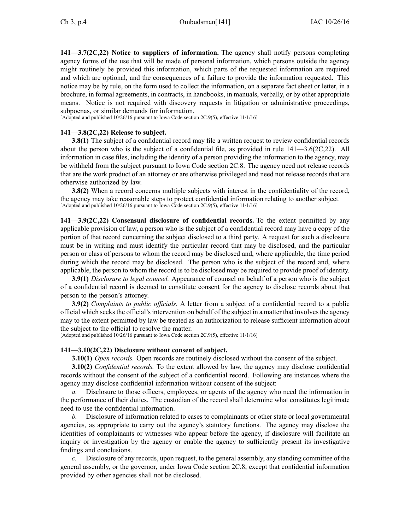**141—3.7(2C,22) Notice to suppliers of information.** The agency shall notify persons completing agency forms of the use that will be made of personal information, which persons outside the agency might routinely be provided this information, which parts of the requested information are required and which are optional, and the consequences of <sup>a</sup> failure to provide the information requested. This notice may be by rule, on the form used to collect the information, on <sup>a</sup> separate fact sheet or letter, in <sup>a</sup> brochure, in formal agreements, in contracts, in handbooks, in manuals, verbally, or by other appropriate means. Notice is not required with discovery requests in litigation or administrative proceedings, subpoenas, or similar demands for information.

[Adopted and published 10/26/16 pursuan<sup>t</sup> to Iowa Code section 2C.9(5), effective 11/1/16]

### **141—3.8(2C,22) Release to subject.**

**3.8(1)** The subject of a confidential record may file a written request to review confidential records about the person who is the subject of a confidential file, as provided in rule  $141-3.6(2C,22)$ . All information in case files, including the identity of <sup>a</sup> person providing the information to the agency, may be withheld from the subject pursuan<sup>t</sup> to Iowa Code section [2C.8](https://www.legis.iowa.gov/docs/ico/section/2C.8.pdf). The agency need not release records that are the work product of an attorney or are otherwise privileged and need not release records that are otherwise authorized by law.

**3.8(2)** When <sup>a</sup> record concerns multiple subjects with interest in the confidentiality of the record, the agency may take reasonable steps to protect confidential information relating to another subject. [Adopted and published 10/26/16 pursuant to Iowa Code section 2C.9(5), effective 11/1/16]

**141—3.9(2C,22) Consensual disclosure of confidential records.** To the extent permitted by any applicable provision of law, <sup>a</sup> person who is the subject of <sup>a</sup> confidential record may have <sup>a</sup> copy of the portion of that record concerning the subject disclosed to <sup>a</sup> third party. A reques<sup>t</sup> for such <sup>a</sup> disclosure must be in writing and must identify the particular record that may be disclosed, and the particular person or class of persons to whom the record may be disclosed and, where applicable, the time period during which the record may be disclosed. The person who is the subject of the record and, where applicable, the person to whom the record is to be disclosed may be required to provide proof of identity.

**3.9(1)** *Disclosure to legal counsel.* Appearance of counsel on behalf of <sup>a</sup> person who is the subject of <sup>a</sup> confidential record is deemed to constitute consent for the agency to disclose records about that person to the person's attorney.

**3.9(2)** *Complaints to public officials.* A letter from <sup>a</sup> subject of <sup>a</sup> confidential record to <sup>a</sup> public official which seeksthe official'sintervention on behalf of the subject in <sup>a</sup> matter that involvesthe agency may to the extent permitted by law be treated as an authorization to release sufficient information about the subject to the official to resolve the matter.

[Adopted and published 10/26/16 pursuan<sup>t</sup> to Iowa Code section 2C.9(5), effective 11/1/16]

### **141—3.10(2C,22) Disclosure without consent of subject.**

**3.10(1)** *Open records.* Open records are routinely disclosed without the consent of the subject.

**3.10(2)** *Confidential records.* To the extent allowed by law, the agency may disclose confidential records without the consent of the subject of <sup>a</sup> confidential record. Following are instances where the agency may disclose confidential information without consent of the subject:

*a.* Disclosure to those officers, employees, or agents of the agency who need the information in the performance of their duties. The custodian of the record shall determine what constitutes legitimate need to use the confidential information.

*b.* Disclosure of information related to cases to complainants or other state or local governmental agencies, as appropriate to carry out the agency's statutory functions. The agency may disclose the identities of complainants or witnesses who appear before the agency, if disclosure will facilitate an inquiry or investigation by the agency or enable the agency to sufficiently presen<sup>t</sup> its investigative findings and conclusions.

*c.* Disclosure of any records, upon request, to the general assembly, any standing committee of the general assembly, or the governor, under Iowa Code section [2C.8](https://www.legis.iowa.gov/docs/ico/section/2C.8.pdf), excep<sup>t</sup> that confidential information provided by other agencies shall not be disclosed.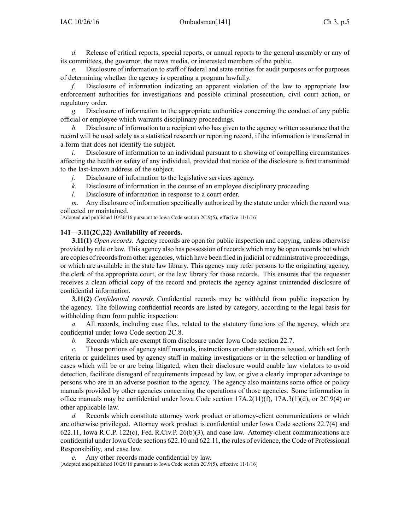*d.* Release of critical reports, special reports, or annual reports to the general assembly or any of its committees, the governor, the news media, or interested members of the public.

*e.* Disclosure of information to staff of federal and state entities for audit purposes or for purposes of determining whether the agency is operating <sup>a</sup> program lawfully.

*f.* Disclosure of information indicating an apparen<sup>t</sup> violation of the law to appropriate law enforcement authorities for investigations and possible criminal prosecution, civil court action, or regulatory order.

*g.* Disclosure of information to the appropriate authorities concerning the conduct of any public official or employee which warrants disciplinary proceedings.

*h.* Disclosure of information to <sup>a</sup> recipient who has given to the agency written assurance that the record will be used solely as <sup>a</sup> statistical research or reporting record, if the information is transferred in <sup>a</sup> form that does not identify the subject.

*i.* Disclosure of information to an individual pursuant to a showing of compelling circumstances affecting the health or safety of any individual, provided that notice of the disclosure is first transmitted to the last-known address of the subject.

*j.* Disclosure of information to the legislative services agency.

*k.* Disclosure of information in the course of an employee disciplinary proceeding.

*l.* Disclosure of information in response to <sup>a</sup> court order.

*m.* Any disclosure of information specifically authorized by the statute under which the record was collected or maintained.

[Adopted and published 10/26/16 pursuan<sup>t</sup> to Iowa Code section 2C.9(5), effective 11/1/16]

# **141—3.11(2C,22) Availability of records.**

**3.11(1)** *Open records.* Agency records are open for public inspection and copying, unless otherwise provided by rule or law. This agency also has possession of records which may be open records but which are copies of records from other agencies, which have been filed in judicial or administrative proceedings, or which are available in the state law library. This agency may refer persons to the originating agency, the clerk of the appropriate court, or the law library for those records. This ensures that the requester receives <sup>a</sup> clean official copy of the record and protects the agency against unintended disclosure of confidential information.

**3.11(2)** *Confidential records.* Confidential records may be withheld from public inspection by the agency. The following confidential records are listed by category, according to the legal basis for withholding them from public inspection:

*a.* All records, including case files, related to the statutory functions of the agency, which are confidential under Iowa Code section [2C.8](https://www.legis.iowa.gov/docs/ico/section/2C.8.pdf).

*b.* Records which are exemp<sup>t</sup> from disclosure under Iowa Code section [22.7](https://www.legis.iowa.gov/docs/ico/section/22.7.pdf).

*c.* Those portions of agency staff manuals, instructions or other statements issued, which set forth criteria or guidelines used by agency staff in making investigations or in the selection or handling of cases which will be or are being litigated, when their disclosure would enable law violators to avoid detection, facilitate disregard of requirements imposed by law, or give <sup>a</sup> clearly improper advantage to persons who are in an adverse position to the agency. The agency also maintains some office or policy manuals provided by other agencies concerning the operations of those agencies. Some information in office manuals may be confidential under Iowa Code section [17A.2\(11\)](https://www.legis.iowa.gov/docs/ico/section/17A.2.pdf)(f), [17A.3\(1\)](https://www.legis.iowa.gov/docs/ico/section/17A.3.pdf)(d), or [2C.9\(4\)](https://www.legis.iowa.gov/docs/ico/section/2C.9.pdf) or other applicable law.

*d.* Records which constitute attorney work product or attorney-client communications or which are otherwise privileged. Attorney work product is confidential under Iowa Code sections [22.7\(4\)](https://www.legis.iowa.gov/docs/ico/section/22.7.pdf) and [622.11](https://www.legis.iowa.gov/docs/ico/section/622.11.pdf), Iowa R.C.P. 122(c), Fed. R.Civ.P. 26(b)(3), and case law. Attorney-client communications are confidential under Iowa Code sections [622.10](https://www.legis.iowa.gov/docs/ico/section/622.10.pdf) and [622.11](https://www.legis.iowa.gov/docs/ico/section/622.11.pdf), the rules of evidence, the Code of Professional Responsibility, and case law.

*e.* Any other records made confidential by law. [Adopted and published 10/26/16 pursuan<sup>t</sup> to Iowa Code section 2C.9(5), effective 11/1/16]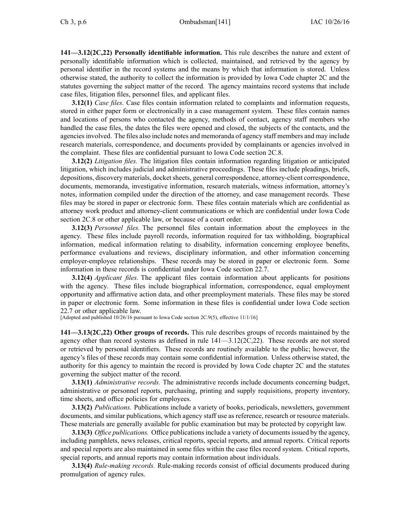**141—3.12(2C,22) Personally identifiable information.** This rule describes the nature and extent of personally identifiable information which is collected, maintained, and retrieved by the agency by personal identifier in the record systems and the means by which that information is stored. Unless otherwise stated, the authority to collect the information is provided by Iowa Code chapter [2C](https://www.legis.iowa.gov/docs/ico/chapter/2C.pdf) and the statutes governing the subject matter of the record. The agency maintains record systems that include case files, litigation files, personnel files, and applicant files.

**3.12(1)** *Case files.* Case files contain information related to complaints and information requests, stored in either paper form or electronically in <sup>a</sup> case managemen<sup>t</sup> system. These files contain names and locations of persons who contacted the agency, methods of contact, agency staff members who handled the case files, the dates the files were opened and closed, the subjects of the contacts, and the agenciesinvolved. The files also include notes and memoranda of agency staff members and may include research materials, correspondence, and documents provided by complainants or agencies involved in the complaint. These files are confidential pursuan<sup>t</sup> to Iowa Code section [2C.8](https://www.legis.iowa.gov/docs/ico/section/2C.8.pdf).

**3.12(2)** *Litigation files.* The litigation files contain information regarding litigation or anticipated litigation, which includes judicial and administrative proceedings. These files include pleadings, briefs, depositions, discovery materials, docket sheets, general correspondence, attorney-client correspondence, documents, memoranda, investigative information, research materials, witness information, attorney's notes, information compiled under the direction of the attorney, and case managemen<sup>t</sup> records. These files may be stored in paper or electronic form. These files contain materials which are confidential as attorney work product and attorney-client communications or which are confidential under Iowa Code section [2C.8](https://www.legis.iowa.gov/docs/ico/section/2C.8.pdf) or other applicable law, or because of <sup>a</sup> court order.

**3.12(3)** *Personnel files.* The personnel files contain information about the employees in the agency. These files include payroll records, information required for tax withholding, biographical information, medical information relating to disability, information concerning employee benefits, performance evaluations and reviews, disciplinary information, and other information concerning employer-employee relationships. These records may be stored in paper or electronic form. Some information in these records is confidential under Iowa Code section [22.7](https://www.legis.iowa.gov/docs/ico/section/22.7.pdf).

**3.12(4)** *Applicant files.* The applicant files contain information about applicants for positions with the agency. These files include biographical information, correspondence, equal employment opportunity and affirmative action data, and other preemployment materials. These files may be stored in paper or electronic form. Some information in these files is confidential under Iowa Code section [22.7](https://www.legis.iowa.gov/docs/ico/section/22.7.pdf) or other applicable law.

[Adopted and published 10/26/16 pursuan<sup>t</sup> to Iowa Code section 2C.9(5), effective 11/1/16]

**141—3.13(2C,22) Other groups of records.** This rule describes groups of records maintained by the agency other than record systems as defined in rule [141—3.12\(](https://www.legis.iowa.gov/docs/iac/rule/141.3.12.pdf)2C,22). These records are not stored or retrieved by personal identifiers. These records are routinely available to the public; however, the agency's files of these records may contain some confidential information. Unless otherwise stated, the authority for this agency to maintain the record is provided by Iowa Code chapter [2C](https://www.legis.iowa.gov/docs/ico/chapter/2C.pdf) and the statutes governing the subject matter of the record.

**3.13(1)** *Administrative records.* The administrative records include documents concerning budget, administrative or personnel reports, purchasing, printing and supply requisitions, property inventory, time sheets, and office policies for employees.

**3.13(2)** *Publications.* Publications include <sup>a</sup> variety of books, periodicals, newsletters, governmen<sup>t</sup> documents, and similar publications, which agency staff use as reference, research or resource materials. These materials are generally available for public examination but may be protected by copyright law.

**3.13(3)** *Office publications.* Office publications include a variety of documents issued by the agency, including pamphlets, news releases, critical reports, special reports, and annual reports. Critical reports and special reports are also maintained in some files within the case files record system. Critical reports, special reports, and annual reports may contain information about individuals.

**3.13(4)** *Rule-making records.* Rule-making records consist of official documents produced during promulgation of agency rules.